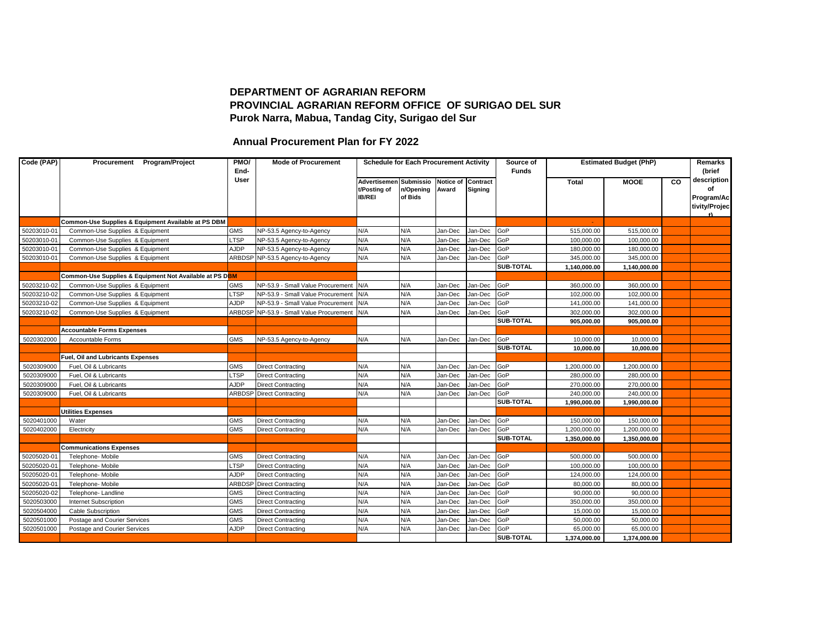## **DEPARTMENT OF AGRARIAN REFORM PROVINCIAL AGRARIAN REFORM OFFICE OF SURIGAO DEL SUR Purok Narra, Mabua, Tandag City, Surigao del Sur**

## **Annual Procurement Plan for FY 2022**

| Code (PAP)  | Procurement Program/Project                             | PMO/<br>End- | <b>Mode of Procurement</b>                   | <b>Schedule for Each Procurement Activity</b> |           |                    |                | Source of<br><b>Funds</b> | <b>Estimated Budget (PhP)</b> |              |    | Remarks<br>(brief                                   |
|-------------|---------------------------------------------------------|--------------|----------------------------------------------|-----------------------------------------------|-----------|--------------------|----------------|---------------------------|-------------------------------|--------------|----|-----------------------------------------------------|
|             |                                                         | User         |                                              | <b>Advertisemen Submissio</b>                 |           | Notice of Contract |                |                           | <b>Total</b>                  | <b>MOOE</b>  | CO | description                                         |
|             |                                                         |              |                                              | t/Posting of                                  | n/Opening | Award              | <b>Signing</b> |                           |                               |              |    | οf                                                  |
|             |                                                         |              |                                              | <b>IB/REI</b>                                 | of Bids   |                    |                |                           |                               |              |    | Program/Ac<br>tivity/Projec<br>$\ddot{\phantom{1}}$ |
|             | Common-Use Supplies & Equipment Available at PS DBM     |              |                                              |                                               |           |                    |                |                           |                               |              |    |                                                     |
| 50203010-01 | Common-Use Supplies & Equipment                         | <b>GMS</b>   | NP-53.5 Agency-to-Agency                     | N/A                                           | N/A       | Jan-Dec            | Jan-Dec        | GoP                       | 515,000.00                    | 515,000.00   |    |                                                     |
| 50203010-01 | Common-Use Supplies & Equipment                         | <b>LTSP</b>  | NP-53.5 Agency-to-Agency                     | N/A                                           | N/A       | Jan-Dec            | Jan-Dec        | GoP                       | 100,000.00                    | 100,000.00   |    |                                                     |
| 50203010-01 | Common-Use Supplies & Equipment                         | AJDP         | NP-53.5 Agency-to-Agency                     | N/A                                           | N/A       | Jan-Dec            | Jan-Dec        | GoP                       | 180,000.00                    | 180,000.00   |    |                                                     |
| 50203010-01 | Common-Use Supplies & Equipment                         |              | ARBDSP NP-53.5 Agency-to-Agency              | N/A                                           | N/A       | Jan-Dec            | Jan-Dec        | GoP                       | 345,000.00                    | 345,000.00   |    |                                                     |
|             |                                                         |              |                                              |                                               |           |                    |                | <b>SUB-TOTAL</b>          | 1,140,000.00                  | 1,140,000.00 |    |                                                     |
|             | Common-Use Supplies & Equipment Not Available at PS DBM |              |                                              |                                               |           |                    |                |                           |                               |              |    |                                                     |
| 50203210-02 | Common-Use Supplies & Equipment                         | <b>GMS</b>   | NP-53.9 - Small Value Procurement N/A        |                                               | N/A       | Jan-Dec            | Jan-Dec        | GoP                       | 360,000.00                    | 360,000.00   |    |                                                     |
| 50203210-02 | Common-Use Supplies & Equipment                         | <b>LTSP</b>  | NP-53.9 - Small Value Procurement            | N/A                                           | N/A       | Jan-Dec            | Jan-Dec        | GoP                       | 102,000.00                    | 102,000.00   |    |                                                     |
| 50203210-02 | Common-Use Supplies & Equipment                         | AJDP         | NP-53.9 - Small Value Procurement            | N/A                                           | N/A       | Jan-Dec            | Jan-Dec        | GoP                       | 141,000.00                    | 141,000.00   |    |                                                     |
| 50203210-02 | Common-Use Supplies & Equipment                         |              | ARBDSP NP-53.9 - Small Value Procurement N/A |                                               | N/A       | Jan-Dec            | Jan-Dec        | GoP                       | 302,000.00                    | 302,000.00   |    |                                                     |
|             |                                                         |              |                                              |                                               |           |                    |                | <b>SUB-TOTAL</b>          | 905,000.00                    | 905,000.00   |    |                                                     |
|             | <b>Accountable Forms Expenses</b>                       |              |                                              |                                               |           |                    |                |                           |                               |              |    |                                                     |
| 5020302000  | Accountable Forms                                       | <b>GMS</b>   | NP-53.5 Agency-to-Agency                     | N/A                                           | N/A       | Jan-Dec            | Jan-Dec        | GoP                       | 10,000.00                     | 10,000.00    |    |                                                     |
|             |                                                         |              |                                              |                                               |           |                    |                | SUB-TOTAL                 | 10,000.00                     | 10,000.00    |    |                                                     |
|             | Fuel, Oil and Lubricants Expenses                       |              |                                              |                                               |           |                    |                |                           |                               |              |    |                                                     |
| 5020309000  | Fuel, Oil & Lubricants                                  | <b>GMS</b>   | <b>Direct Contracting</b>                    | N/A                                           | N/A       | Jan-Dec            | Jan-Dec        | GoP                       | 1,200,000.00                  | 1,200,000.00 |    |                                                     |
| 5020309000  | Fuel, Oil & Lubricants                                  | <b>LTSP</b>  | <b>Direct Contracting</b>                    | N/A                                           | N/A       | Jan-Dec            | Jan-Dec        | GoP                       | 280,000.00                    | 280,000.00   |    |                                                     |
| 5020309000  | Fuel, Oil & Lubricants                                  | AJDP         | <b>Direct Contracting</b>                    | N/A                                           | N/A       | Jan-Dec            | Jan-Dec        | GoP                       | 270,000.00                    | 270,000.00   |    |                                                     |
| 5020309000  | Fuel, Oil & Lubricants                                  |              | <b>ARBDSP</b> Direct Contracting             | N/A                                           | N/A       | Jan-Dec            | Jan-Dec        | GoP                       | 240,000.00                    | 240,000.00   |    |                                                     |
|             |                                                         |              |                                              |                                               |           |                    |                | <b>SUB-TOTAL</b>          | 1,990,000.00                  | 1,990,000.00 |    |                                                     |
|             | <b>Utilities Expenses</b>                               |              |                                              |                                               |           |                    |                |                           |                               |              |    |                                                     |
| 5020401000  | Water                                                   | <b>GMS</b>   | <b>Direct Contracting</b>                    | N/A                                           | N/A       | Jan-Dec            | Jan-Dec        | GoP                       | 150,000.00                    | 150,000.00   |    |                                                     |
| 5020402000  | Electricity                                             | <b>GMS</b>   | <b>Direct Contracting</b>                    | N/A                                           | N/A       | Jan-Dec            | Jan-Dec        | GoP                       | 1,200,000.00                  | 1,200,000.00 |    |                                                     |
|             |                                                         |              |                                              |                                               |           |                    |                | <b>SUB-TOTAL</b>          | 1,350,000.00                  | 1,350,000.00 |    |                                                     |
|             | <b>Communications Expenses</b>                          |              |                                              |                                               |           |                    |                |                           |                               |              |    |                                                     |
| 50205020-01 | Telephone- Mobile                                       | <b>GMS</b>   | <b>Direct Contracting</b>                    | N/A                                           | N/A       | Jan-Dec            | Jan-Dec        | GoP                       | 500,000.00                    | 500,000.00   |    |                                                     |
| 50205020-01 | Telephone- Mobile                                       | <b>LTSP</b>  | <b>Direct Contracting</b>                    | N/A                                           | N/A       | Jan-Dec            | Jan-Dec        | <b>GoP</b>                | 100,000.00                    | 100,000.00   |    |                                                     |
| 50205020-01 | Telephone- Mobile                                       | <b>AJDP</b>  | <b>Direct Contracting</b>                    | N/A                                           | N/A       | Jan-Dec            | Jan-Dec        | GoP                       | 124,000.00                    | 124,000.00   |    |                                                     |
| 50205020-01 | Telephone- Mobile                                       | <b>ARBDS</b> | Direct Contracting                           | N/A                                           | N/A       | Jan-Dec            | Jan-Dec        | GoP                       | 80,000.00                     | 80,000.00    |    |                                                     |
| 50205020-02 | Telephone-Landline                                      | <b>GMS</b>   | <b>Direct Contracting</b>                    | N/A                                           | N/A       | Jan-Dec            | Jan-Dec        | GoP                       | 90,000.00                     | 90,000.00    |    |                                                     |
| 5020503000  | Internet Subscription                                   | <b>GMS</b>   | <b>Direct Contracting</b>                    | N/A                                           | N/A       | Jan-Dec            | Jan-Dec        | GoP                       | 350,000.00                    | 350,000.00   |    |                                                     |
| 5020504000  | <b>Cable Subscription</b>                               | <b>GMS</b>   | <b>Direct Contracting</b>                    | N/A                                           | N/A       | Jan-Dec            | Jan-Dec        | GoP                       | 15,000.00                     | 15,000.00    |    |                                                     |
| 5020501000  | Postage and Courier Services                            | <b>GMS</b>   | <b>Direct Contracting</b>                    | N/A                                           | N/A       | Jan-Dec            | Jan-Dec        | GoP                       | 50,000.00                     | 50,000.00    |    |                                                     |
| 5020501000  | Postage and Courier Services                            | AJDP         | <b>Direct Contracting</b>                    | N/A                                           | N/A       | Jan-Dec            | Jan-Dec        | GoP                       | 65,000.00                     | 65,000.00    |    |                                                     |
|             |                                                         |              |                                              |                                               |           |                    |                | <b>SUB-TOTAL</b>          | 1,374,000.00                  | 1,374,000.00 |    |                                                     |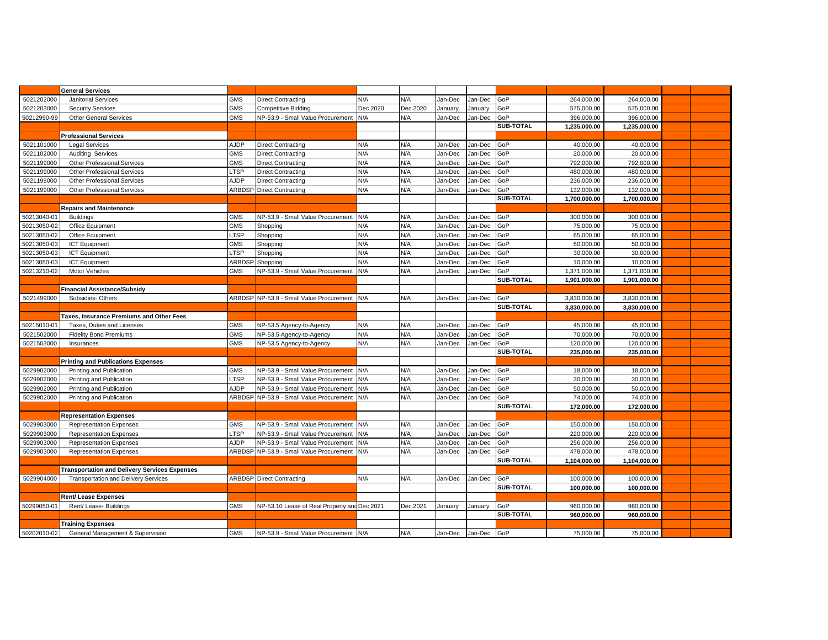|             | <b>General Services</b>                              |               |                                              |          |          |         |         |                  |              |              |  |
|-------------|------------------------------------------------------|---------------|----------------------------------------------|----------|----------|---------|---------|------------------|--------------|--------------|--|
| 5021202000  | <b>Janitorial Services</b>                           | <b>GMS</b>    | <b>Direct Contracting</b>                    | N/A      | N/A      | Jan-Dec | Jan-Dec | GoP              | 264,000.00   | 264,000.00   |  |
| 5021203000  | <b>Security Services</b>                             | <b>GMS</b>    | Competitive Bidding                          | Dec 2020 | Dec 2020 | January | January | GoP              | 575,000.00   | 575,000.00   |  |
| 50212990-99 | <b>Other General Services</b>                        | <b>GMS</b>    | NP-53.9 - Small Value Procurement            | N/A      | N/A      | Jan-Dec | Jan-Dec | GoP              | 396,000.00   | 396,000.00   |  |
|             |                                                      |               |                                              |          |          |         |         | SUB-TOTAL        | 1,235,000.00 | 1,235,000.00 |  |
|             | <b>Professional Services</b>                         |               |                                              |          |          |         |         |                  |              |              |  |
| 5021101000  | <b>Legal Services</b>                                | <b>AJDP</b>   | <b>Direct Contracting</b>                    | N/A      | N/A      | Jan-Dec | Jan-Dec | GoP              | 40,000.00    | 40,000.00    |  |
| 5021102000  | <b>Auditing Services</b>                             | <b>GMS</b>    | <b>Direct Contracting</b>                    | N/A      | N/A      | Jan-Dec | Jan-Dec | GoP              | 20,000.00    | 20,000.00    |  |
| 5021199000  | Other Professional Services                          | <b>GMS</b>    | <b>Direct Contracting</b>                    | N/A      | N/A      | Jan-Dec | Jan-Dec | GoP              | 792,000.00   | 792,000.00   |  |
| 5021199000  | Other Professional Services                          | LTSP          | <b>Direct Contracting</b>                    | N/A      | N/A      | Jan-Dec | Jan-Dec | GoP              | 480,000.00   | 480,000.00   |  |
| 5021199000  | <b>Other Professional Services</b>                   | AJDP          | <b>Direct Contracting</b>                    | N/A      | N/A      | Jan-Dec | lan-Dec | GoP              | 236,000.00   | 236,000.00   |  |
| 5021199000  | <b>Other Professional Services</b>                   | ARBDSP        | <b>Direct Contracting</b>                    | N/A      | N/A      | Jan-Dec | Jan-Dec | GoP              | 132,000.00   | 132,000.00   |  |
|             |                                                      |               |                                              |          |          |         |         | <b>SUB-TOTAL</b> | 1,700,000.00 | 1,700,000.00 |  |
|             | <b>Repairs and Maintenance</b>                       |               |                                              |          |          |         |         |                  |              |              |  |
| 50213040-01 | <b>Buildings</b>                                     | <b>GMS</b>    | NP-53.9 - Small Value Procurement            | N/A      | N/A      | Jan-Dec | Jan-Dec | GoP              | 300,000.00   | 300,000.00   |  |
| 50213050-02 | Office Equipment                                     | <b>GMS</b>    | Shopping                                     | N/A      | N/A      | Jan-Dec | lan-Dec | GoP              | 75,000.00    | 75,000.00    |  |
| 50213050-02 | Office Equipment                                     | <b>LTSP</b>   | Shopping                                     | N/A      | N/A      | Jan-Dec | lan-Dec | GoP              | 65,000.00    | 65,000.00    |  |
| 50213050-03 | <b>ICT Equipment</b>                                 | <b>GMS</b>    | Shopping                                     | N/A      | N/A      | Jan-Dec | lan-Dec | GoP              | 50,000.00    | 50.000.00    |  |
| 50213050-03 | <b>ICT Equipment</b>                                 | LTSP          | Shopping                                     | N/A      | N/A      | Jan-Dec | lan-Dec | GoP              | 30,000.00    | 30,000.00    |  |
| 50213050-03 | <b>ICT</b> Equipment                                 | <b>ARBDS</b>  | Shopping                                     | N/A      | N/A      | Jan-Dec | Jan-Dec | GoP              | 10,000.00    | 10,000.00    |  |
| 50213210-02 | <b>Motor Vehicles</b>                                | <b>GMS</b>    | NP-53.9 - Small Value Procurement N/A        |          | N/A      | Jan-Dec | Jan-Dec | GoP              | 1,371,000.00 | 1,371,000.00 |  |
|             |                                                      |               |                                              |          |          |         |         | <b>SUB-TOTAL</b> | 1.901.000.00 | 1,901,000.00 |  |
|             | <b>Financial Assistance/Subsidy</b>                  |               |                                              |          |          |         |         |                  |              |              |  |
| 5021499000  | Subsidies-Others                                     |               | ARBDSP NP-53.9 - Small Value Procurement N/A |          | N/A      | Jan-Dec | Jan-Dec | GoP              | 3,830,000.00 | 3,830,000.00 |  |
|             |                                                      |               |                                              |          |          |         |         | SUB-TOTAL        | 3,830,000.00 | 3,830,000.00 |  |
|             | Taxes, Insurance Premiums and Other Fees             |               |                                              |          |          |         |         |                  |              |              |  |
| 50215010-01 | Taxes, Duties and Licenses                           | <b>GMS</b>    | NP-53.5 Agency-to-Agency                     | N/A      | N/A      | Jan-Dec | Jan-Dec | GoP              | 45,000.00    | 45,000.00    |  |
| 5021502000  | <b>Fidelity Bond Premiums</b>                        | <b>GMS</b>    | NP-53.5 Agency-to-Agency                     | N/A      | N/A      | Jan-Dec | Jan-Dec | GoP              | 70,000.00    | 70,000.00    |  |
| 5021503000  | Insurances                                           | <b>GMS</b>    | NP-53.5 Agency-to-Agency                     | N/A      | N/A      | Jan-Dec | Jan-Dec | GoP              | 120,000.00   | 120,000.00   |  |
|             |                                                      |               |                                              |          |          |         |         | <b>SUB-TOTAL</b> | 235,000.00   | 235,000.00   |  |
|             | <b>Printing and Publications Expenses</b>            |               |                                              |          |          |         |         |                  |              |              |  |
| 5029902000  | Printing and Publication                             | <b>GMS</b>    | NP-53.9 - Small Value Procurement            | N/A      | N/A      | Jan-Dec | Jan-Dec | GoP              | 18,000.00    | 18,000.00    |  |
| 5029902000  | Printing and Publication                             | LTSP          | NP-53.9 - Small Value Procurement            | N/A      | N/A      | Jan-Dec | Jan-Dec | GoP              | 30,000.00    | 30,000.00    |  |
| 5029902000  | Printing and Publication                             | AJDP          | NP-53.9 - Small Value Procurement            | N/A      | N/A      | Jan-Dec | Jan-Dec | GoP              | 50,000.00    | 50,000.00    |  |
| 5029902000  | Printing and Publication                             | <b>ARBDSP</b> | NP-53.9 - Small Value Procurement            | N/A      | N/A      | Jan-Dec | Jan-Dec | GoP              | 74,000.00    | 74,000.00    |  |
|             |                                                      |               |                                              |          |          |         |         | <b>SUB-TOTAL</b> | 172,000.00   | 172,000.00   |  |
|             | <b>Representation Expenses</b>                       |               |                                              |          |          |         |         |                  |              |              |  |
| 5029903000  | <b>Representation Expenses</b>                       | <b>GMS</b>    | NP-53.9 - Small Value Procurement            | N/A      | N/A      | Jan-Dec | Jan-Dec | GoP              | 150,000.00   | 150,000.00   |  |
| 5029903000  | <b>Representation Expenses</b>                       | LTSP          | NP-53.9 - Small Value Procurement            | N/A      | N/A      | Jan-Dec | Jan-Dec | GoP              | 220,000.00   | 220,000.00   |  |
| 5029903000  | <b>Representation Expenses</b>                       | AJDP          | NP-53.9 - Small Value Procurement            | N/A      | N/A      | Jan-Dec | Jan-Dec | GoP              | 256,000.00   | 256,000.00   |  |
| 5029903000  | <b>Representation Expenses</b>                       | ARBDSP        | NP-53.9 - Small Value Procurement            | N/A      | N/A      | Jan-Dec | Jan-Dec | GoP              | 478,000.00   | 478,000.00   |  |
|             |                                                      |               |                                              |          |          |         |         | SUB-TOTAL        | 1,104,000.00 | 1,104,000.00 |  |
|             | <b>Transportation and Delivery Services Expenses</b> |               |                                              |          |          |         |         |                  |              |              |  |
| 5029904000  | <b>Transportation and Delivery Services</b>          |               | <b>ARBDSP</b> Direct Contracting             | N/A      | N/A      | Jan-Dec | Jan-Dec | GoP              | 100,000.00   | 100,000.00   |  |
|             |                                                      |               |                                              |          |          |         |         | SUB-TOTAL        | 100,000.00   | 100,000.00   |  |
|             | <b>Rent/ Lease Expenses</b>                          |               |                                              |          |          |         |         |                  |              |              |  |
| 50299050-01 | Rent/ Lease- Buildings                               | <b>GMS</b>    | NP-53.10 Lease of Real Property and Dec 2021 |          | Dec 2021 | January | January | GoP              | 960,000.00   | 960,000.00   |  |
|             |                                                      |               |                                              |          |          |         |         | SUB-TOTAL        | 960,000.00   | 960,000.00   |  |
|             | <b>Training Expenses</b>                             |               |                                              |          |          |         |         |                  |              |              |  |
| 50202010-02 | General Management & Supervision                     | <b>GMS</b>    | NP-53.9 - Small Value Procurement N/A        |          | N/A      | Jan-Dec | Jan-Dec | GoP              | 75,000.00    | 75,000.00    |  |
|             |                                                      |               |                                              |          |          |         |         |                  |              |              |  |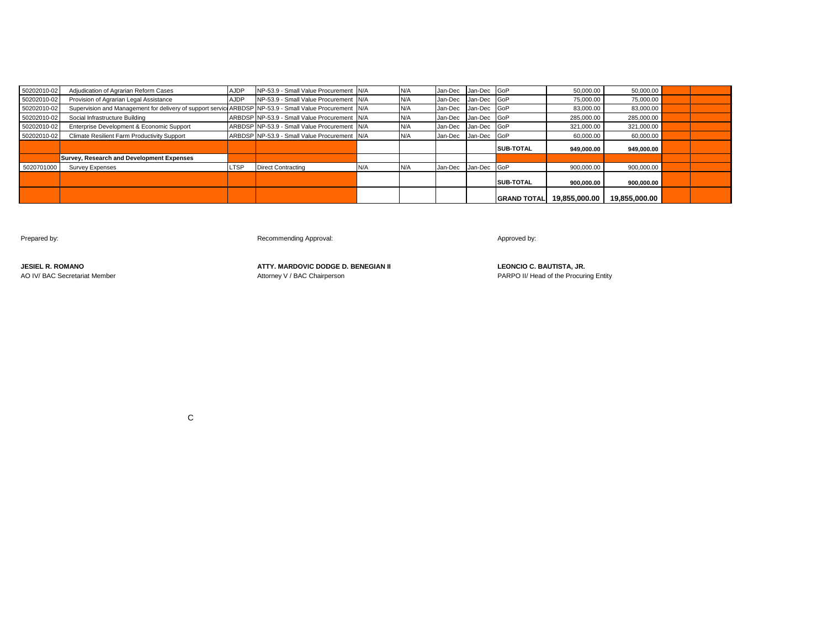| 50202010-02 | Adjudication of Agrarian Reform Cases                                                                   | <b>AJDP</b> | NP-53.9 - Small Value Procurement N/A        |     | N/A |         | Jan-Dec Jan-Dec GoP |                     | 50.000.00     | 50,000.00     |  |
|-------------|---------------------------------------------------------------------------------------------------------|-------------|----------------------------------------------|-----|-----|---------|---------------------|---------------------|---------------|---------------|--|
| 50202010-02 | Provision of Agrarian Legal Assistance                                                                  | <b>AJDP</b> | NP-53.9 - Small Value Procurement N/A        |     | N/A | Jan-Dec | Jan-Dec GoP         |                     | 75,000.00     | 75,000,00     |  |
| 50202010-02 | Supervision and Management for delivery of support service ARBDSP NP-53.9 - Small Value Procurement N/A |             |                                              |     | N/A | Jan-Dec | Jan-Dec GoP         |                     | 83,000.00     | 83,000.00     |  |
| 50202010-02 | Social Infrastructure Building                                                                          |             | ARBDSP NP-53.9 - Small Value Procurement N/A |     | N/A |         | Jan-Dec Jan-Dec GoP |                     | 285,000.00    | 285,000.00    |  |
| 50202010-02 | Enterprise Development & Economic Support                                                               |             | ARBDSP NP-53.9 - Small Value Procurement N/A |     | N/A |         | Jan-Dec Jan-Dec GoP |                     | 321,000.00    | 321,000.00    |  |
| 50202010-02 | Climate Resilient Farm Productivity Support                                                             |             | ARBDSP NP-53.9 - Small Value Procurement N/A |     | N/A |         | Jan-Dec Jan-Dec GoP |                     | 60.000.00     | 60.000.00     |  |
|             |                                                                                                         |             |                                              |     |     |         |                     | <b>SUB-TOTAL</b>    | 949.000.00    | 949.000.00    |  |
|             | <b>Survey, Research and Development Expenses</b>                                                        |             |                                              |     |     |         |                     |                     |               |               |  |
| 5020701000  | <b>Survey Expenses</b>                                                                                  | <b>LTSP</b> | <b>Direct Contracting</b>                    | N/A | N/A | Jan-Dec | Jan-Dec GoP         |                     | 900,000.00    | 900,000.00    |  |
|             |                                                                                                         |             |                                              |     |     |         |                     | <b>SUB-TOTAL</b>    | 900.000.00    | 900.000.00    |  |
|             |                                                                                                         |             |                                              |     |     |         |                     | <b>IGRAND TOTAL</b> | 19.855.000.00 | 19,855,000.00 |  |

Prepared by: example a manufacturer of the commending Approval: Approval: Approved by: Approved by: Approved by:

**JESIEL R. ROMANO ATTY. MARDOVIC DODGE D. BENEGIAN II LEONCIO C. BAUTISTA, JR.** AO IV/ BAC Secretariat Member **Attorney V** / BAC Chairperson **PARPO II/ Head of the Procuring Entity** PARPO II/ Head of the Procuring Entity

**C** and the contract of the contract of the contract of the contract of the contract of the contract of the contract of the contract of the contract of the contract of the contract of the contract of the contract of the co